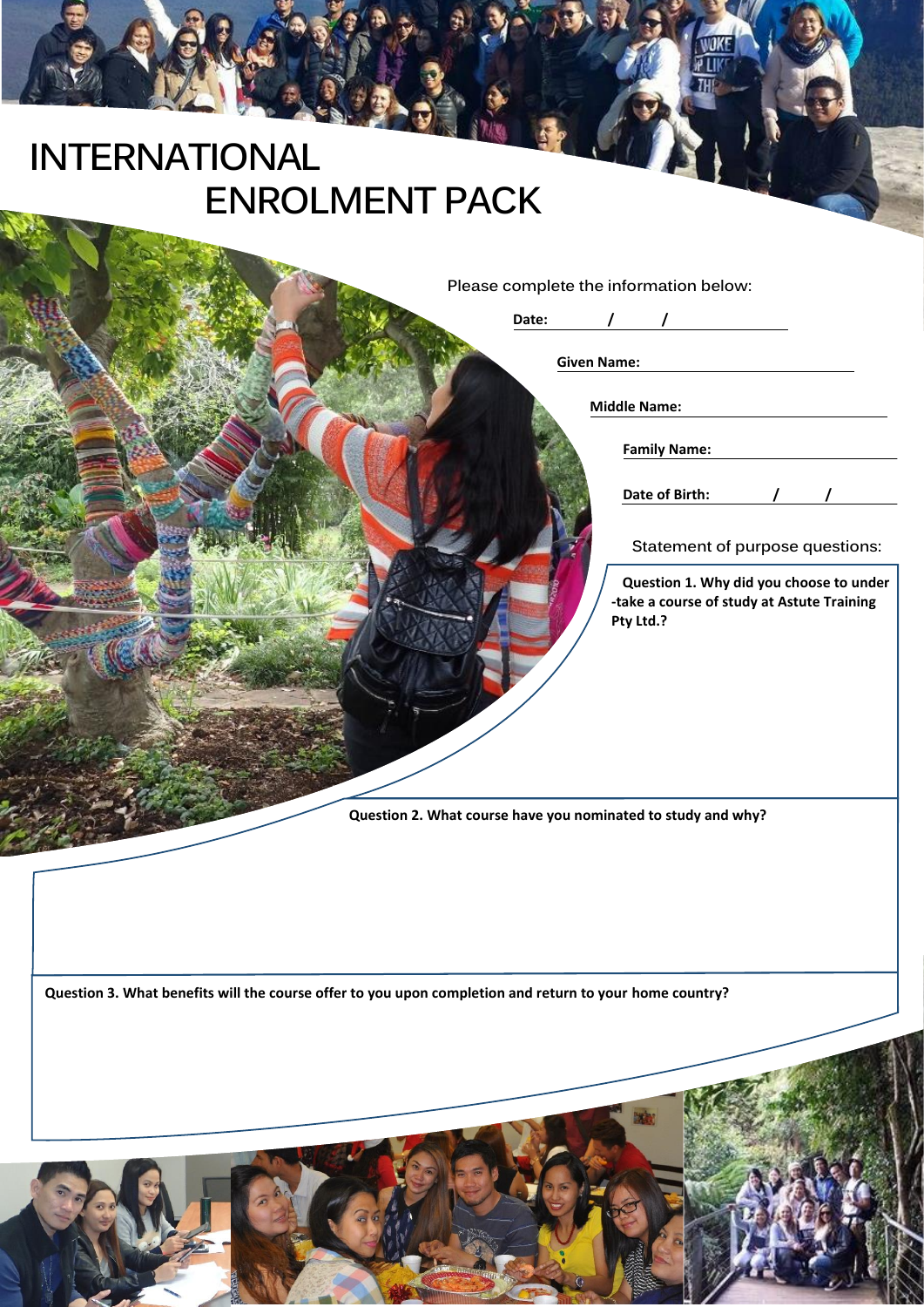# **INTERNATIONAL**

| Please complete the information below:<br>Date:<br><b>Given Name:</b><br><b>Middle Name:</b><br><b>Family Name:</b><br>Date of Birth:<br>Statement of purpose questions:<br>-take a course of study at Astute Training<br>Pty Ltd.? | <b>ENROLMENT PACK</b> |                                         |
|-------------------------------------------------------------------------------------------------------------------------------------------------------------------------------------------------------------------------------------|-----------------------|-----------------------------------------|
|                                                                                                                                                                                                                                     |                       | Question 1. Why did you choose to under |
| Question 2. What course have you nominated to study and why?<br>Question 3. What benefits will the course offer to you upon completion and return to your home country?                                                             |                       |                                         |

**THE PLACE**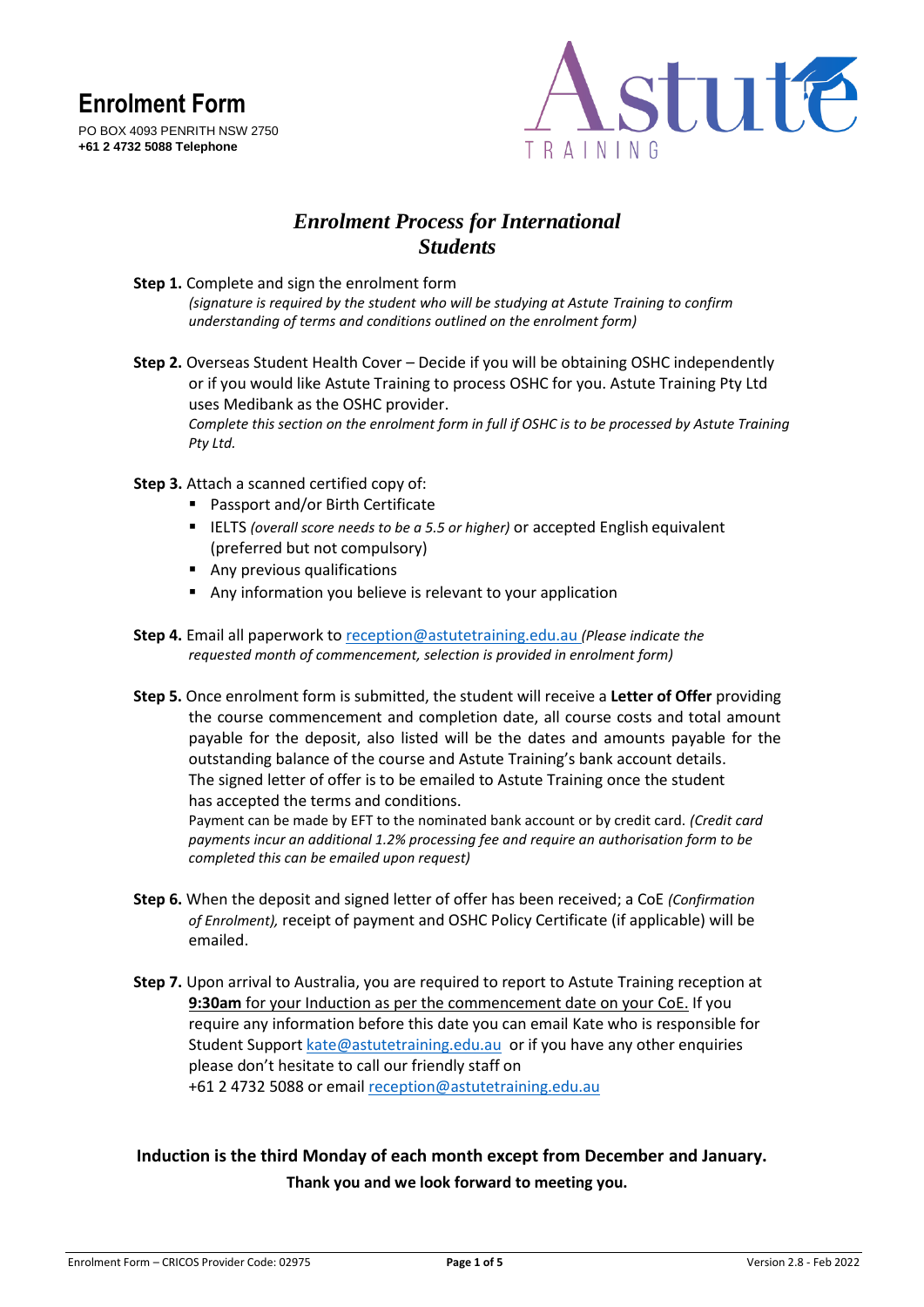



### *Enrolment Process for International Students*

- **Step 1.** Complete and sign the enrolment form *(signature is required by the student who will be studying at Astute Training to confirm understanding of terms and conditions outlined on the enrolment form)*
- **Step 2.** Overseas Student Health Cover Decide if you will be obtaining OSHC independently or if you would like Astute Training to process OSHC for you. Astute Training Pty Ltd uses Medibank as the OSHC provider. *Complete this section on the enrolment form in full if OSHC is to be processed by Astute Training Pty Ltd.*
- **Step 3.** Attach a scanned certified copy of:
	- Passport and/or Birth Certificate
	- IELTS *(overall score needs to be a 5.5 or higher)* or accepted English equivalent (preferred but not compulsory)
	- Any previous qualifications
	- Any information you believe is relevant to your application
- **Step 4.** Email all paperwork to [reception@astutetraining.edu.au](mailto:reception@astutetraining.edu.au) *(Please indicate the requested month of commencement, selection is provided in enrolment form)*
- **Step 5.** Once enrolment form is submitted, the student will receive a **Letter of Offer** providing the course commencement and completion date, all course costs and total amount payable for the deposit, also listed will be the dates and amounts payable for the outstanding balance of the course and Astute Training's bank account details. The signed letter of offer is to be emailed to Astute Training once the student has accepted the terms and conditions. Payment can be made by EFT to the nominated bank account or by credit card. *(Credit card*

*payments incur an additional 1.2% processing fee and require an authorisation form to be completed this can be emailed upon request)*

- **Step 6.** When the deposit and signed letter of offer has been received; a CoE *(Confirmation of Enrolment),* receipt of payment and OSHC Policy Certificate (if applicable) will be emailed.
- **Step 7.** Upon arrival to Australia, you are required to report to Astute Training reception at **9:30am** for your Induction as per the commencement date on your CoE. If you require any information before this date you can email Kate who is responsible for Student Suppor[t kate@astutetraining.edu.au](mailto:kate@astutetraining.edu.au) or if you have any other enquiries please don't hesitate to call our friendly staff on +61 2 4732 5088 or emai[l reception@astutetraining.edu.au](mailto:reception@astutetraining.edu.au)

**Induction is the third Monday of each month except from December and January. Thank you and we look forward to meeting you.**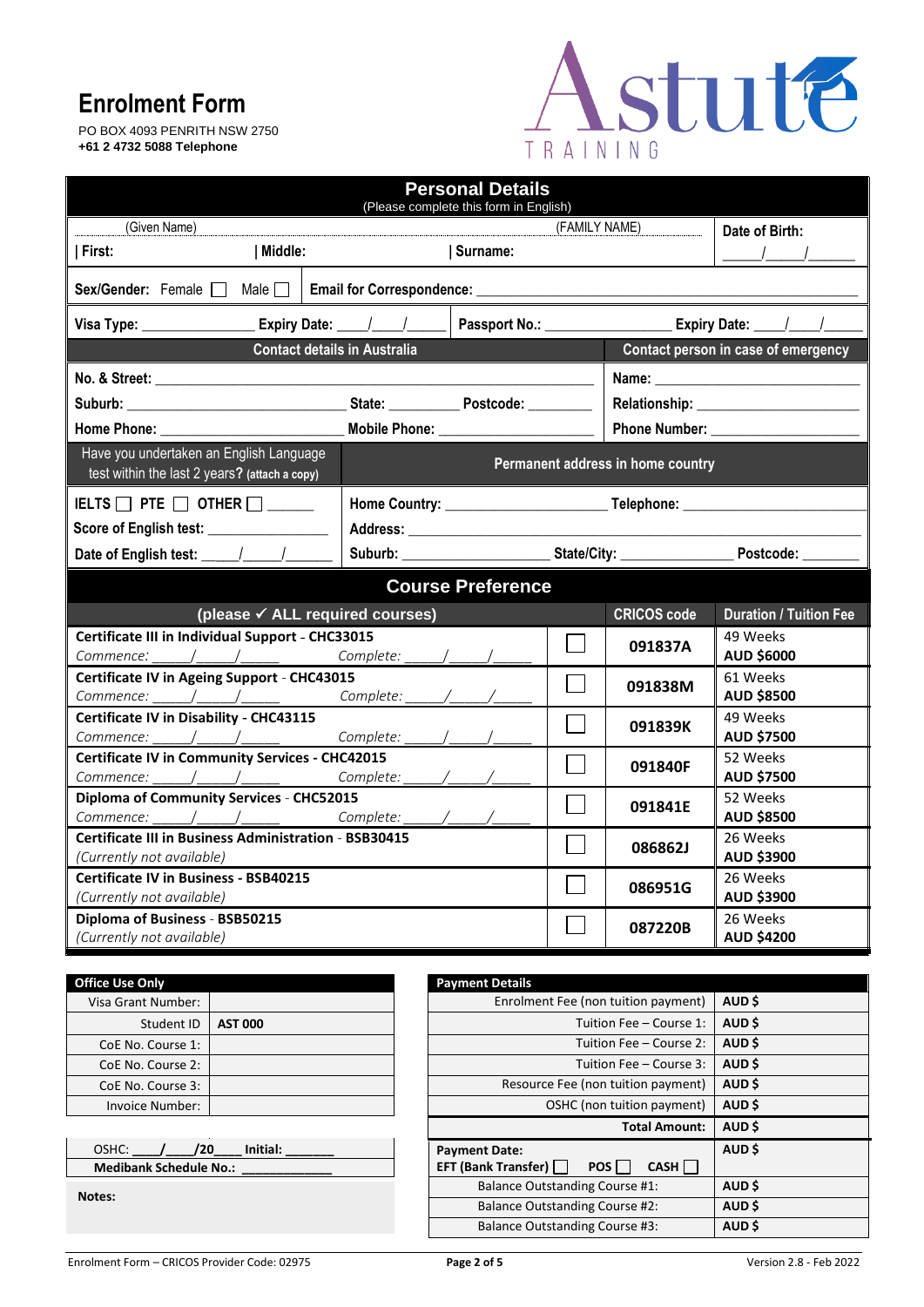PO BOX 4093 PENRITH NSW 2750 **+61 2 4732 5088 Telephone**



| <b>Personal Details</b><br>(Please complete this form in English)                                              |                          |                          |                                     |                                   |                               |
|----------------------------------------------------------------------------------------------------------------|--------------------------|--------------------------|-------------------------------------|-----------------------------------|-------------------------------|
| (Given Name)                                                                                                   |                          |                          | (FAMILY NAME)                       |                                   | Date of Birth:                |
| Middle:<br>First:                                                                                              |                          | Surname:                 |                                     |                                   |                               |
| Sex/Gender: Female $\Box$ Male $\Box$                                                                          |                          |                          |                                     |                                   |                               |
|                                                                                                                |                          |                          |                                     |                                   |                               |
| <b>Contact details in Australia</b>                                                                            |                          |                          | Contact person in case of emergency |                                   |                               |
|                                                                                                                |                          |                          |                                     |                                   |                               |
|                                                                                                                |                          |                          |                                     |                                   |                               |
| Home Phone: when the control of the control of the control of the control of the control of the control of the | Mobile Phone: Noble 2008 |                          |                                     | Phone Number: ________            |                               |
| Have you undertaken an English Language                                                                        |                          |                          |                                     |                                   |                               |
| test within the last 2 years? (attach a copy)                                                                  |                          |                          |                                     | Permanent address in home country |                               |
| IELTS $\Box$ PTE $\Box$ Other $\Box$                                                                           |                          |                          |                                     |                                   |                               |
| Score of English test: ________________                                                                        |                          |                          |                                     |                                   |                               |
| Date of English test: _____/_____/                                                                             |                          |                          |                                     |                                   |                               |
|                                                                                                                |                          | <b>Course Preference</b> |                                     |                                   |                               |
| (please √ ALL required courses)<br><b>CRICOS code</b>                                                          |                          |                          | <b>Duration / Tuition Fee</b>       |                                   |                               |
| Certificate III in Individual Support - CHC33015                                                               |                          |                          |                                     |                                   | 49 Weeks                      |
| Commence: _____/_____/_______________Complete:                                                                 |                          |                          |                                     | 091837A                           | AUD \$6000                    |
| Certificate IV in Ageing Support - CHC43015                                                                    |                          |                          | 61 Weeks<br>091838M                 |                                   |                               |
|                                                                                                                | Complete:                |                          |                                     |                                   | <b>AUD \$8500</b>             |
| Certificate IV in Disability - CHC43115                                                                        |                          |                          |                                     | 091839K                           | 49 Weeks                      |
| $Commence:$ $\_\_\_\_\_\_\_\_\_\_\_\_\_$                                                                       |                          |                          |                                     |                                   | AUD \$7500                    |
| <b>Certificate IV in Community Services - CHC42015</b><br>Commence:                                            |                          |                          |                                     | 091840F                           | 52 Weeks<br><b>AUD \$7500</b> |
| <b>Diploma of Community Services - CHC52015</b>                                                                |                          |                          |                                     |                                   | 52 Weeks                      |
| Commence: / / / Complete:                                                                                      |                          |                          |                                     | 091841E                           | <b>AUD \$8500</b>             |
| <b>Certificate III in Business Administration - BSB30415</b>                                                   |                          |                          | 086862J                             | 26 Weeks                          |                               |
| (Currently not available)                                                                                      |                          |                          |                                     | AUD \$3900                        |                               |
| <b>Certificate IV in Business - BSB40215</b>                                                                   |                          |                          | 086951G                             | 26 Weeks                          |                               |
| AUD \$3900<br>(Currently not available)                                                                        |                          |                          |                                     |                                   |                               |
| Diploma of Business - BSB50215                                                                                 |                          |                          |                                     | 087220B                           | 26 Weeks                      |
| (Currently not available)                                                                                      |                          |                          |                                     |                                   | <b>AUD \$4200</b>             |

| <b>Office Use Only</b> |                | <b>Payment Details</b> |
|------------------------|----------------|------------------------|
| Visa Grant Number:     |                | Enroln                 |
| Student ID             | <b>AST 000</b> |                        |
| CoE No. Course 1:      |                |                        |
| CoE No. Course 2:      |                |                        |
| CoE No. Course 3:      |                | Resor                  |
| Invoice Number:        |                |                        |
|                        |                |                        |

| 120<br>OSHC:<br>Initial:      | <b>Payment Date:</b>  |
|-------------------------------|-----------------------|
| <b>Medibank Schedule No.:</b> | <b>EFT (Bank Tran</b> |

**Notes:**

| fice Use Only                                           |                | <b>Payment Details</b>                                                       |        |
|---------------------------------------------------------|----------------|------------------------------------------------------------------------------|--------|
| Visa Grant Number:                                      |                | Enrolment Fee (non tuition payment)                                          | AUD \$ |
| Student ID                                              | <b>AST 000</b> | Tuition Fee - Course 1:                                                      | AUD \$ |
| CoE No. Course 1:                                       |                | Tuition Fee – Course 2:                                                      | AUD \$ |
| CoE No. Course 2:                                       |                | Tuition Fee – Course 3:                                                      | AUD \$ |
| Resource Fee (non tuition payment)<br>CoE No. Course 3: |                | AUD \$                                                                       |        |
| Invoice Number:                                         |                | OSHC (non tuition payment)                                                   | AUD \$ |
|                                                         |                | <b>Total Amount:</b>                                                         | AUD \$ |
| OSHC:<br>/20<br><b>Medibank Schedule No.:</b>           | Initial:       | <b>Payment Date:</b><br><b>EFT (Bank Transfer)</b><br>CASH    <br><b>POS</b> | AUD \$ |
| otes:                                                   |                | <b>Balance Outstanding Course #1:</b>                                        | AUD \$ |
|                                                         |                | <b>Balance Outstanding Course #2:</b>                                        | AUD \$ |
|                                                         |                | <b>Balance Outstanding Course #3:</b>                                        | AUD \$ |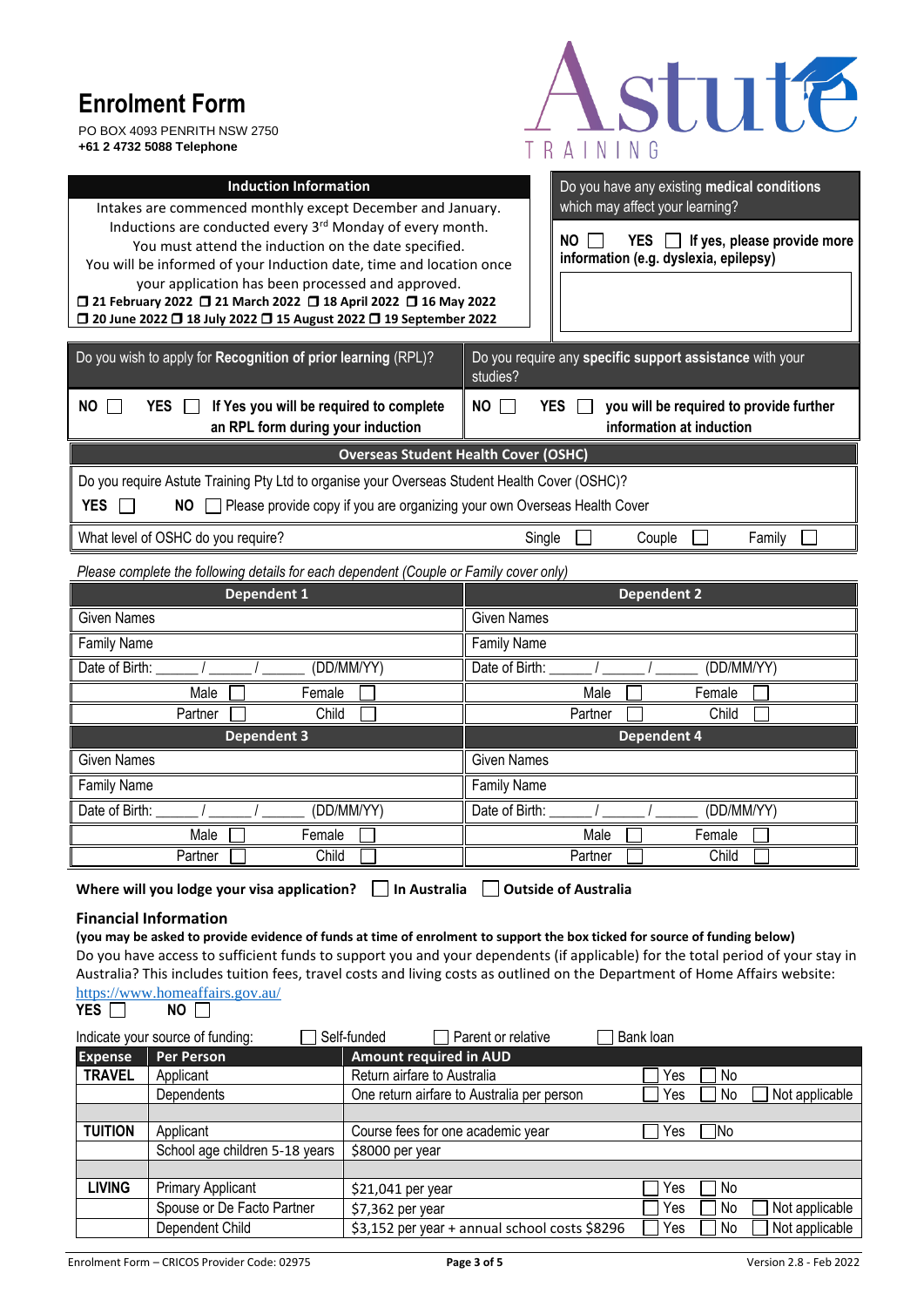PO BOX 4093 PENRITH NSW 2750 **+61 2 4732 5088 Telephone**



| <b>Induction Information</b><br>Do you have any existing medical conditions<br>which may affect your learning?<br>Intakes are commenced monthly except December and January.<br>Inductions are conducted every 3rd Monday of every month.<br>$YES$ $\Box$ If yes, please provide more<br>NO.<br>You must attend the induction on the date specified.<br>information (e.g. dyslexia, epilepsy)<br>You will be informed of your Induction date, time and location once<br>your application has been processed and approved.<br>□ 21 February 2022 □ 21 March 2022 □ 18 April 2022 □ 16 May 2022<br>□ 20 June 2022 □ 18 July 2022 □ 15 August 2022 □ 19 September 2022 |                                                                                                |  |  |  |
|---------------------------------------------------------------------------------------------------------------------------------------------------------------------------------------------------------------------------------------------------------------------------------------------------------------------------------------------------------------------------------------------------------------------------------------------------------------------------------------------------------------------------------------------------------------------------------------------------------------------------------------------------------------------|------------------------------------------------------------------------------------------------|--|--|--|
| Do you wish to apply for Recognition of prior learning (RPL)?                                                                                                                                                                                                                                                                                                                                                                                                                                                                                                                                                                                                       | Do you require any specific support assistance with your<br>studies?                           |  |  |  |
| If Yes you will be required to complete<br>NO<br><b>YES</b><br>an RPL form during your induction                                                                                                                                                                                                                                                                                                                                                                                                                                                                                                                                                                    | <b>NO</b><br>you will be required to provide further<br><b>YES</b><br>information at induction |  |  |  |
|                                                                                                                                                                                                                                                                                                                                                                                                                                                                                                                                                                                                                                                                     | <b>Overseas Student Health Cover (OSHC)</b>                                                    |  |  |  |
| Do you require Astute Training Pty Ltd to organise your Overseas Student Health Cover (OSHC)?<br><b>YES</b><br>Please provide copy if you are organizing your own Overseas Health Cover<br><b>NO</b>                                                                                                                                                                                                                                                                                                                                                                                                                                                                |                                                                                                |  |  |  |
| What level of OSHC do you require?                                                                                                                                                                                                                                                                                                                                                                                                                                                                                                                                                                                                                                  | Single<br>Couple<br>Family                                                                     |  |  |  |
| Please complete the following details for each dependent (Couple or Family cover only)                                                                                                                                                                                                                                                                                                                                                                                                                                                                                                                                                                              |                                                                                                |  |  |  |
| <b>Dependent 1</b><br><b>Dependent 2</b>                                                                                                                                                                                                                                                                                                                                                                                                                                                                                                                                                                                                                            |                                                                                                |  |  |  |
| <b>Given Names</b>                                                                                                                                                                                                                                                                                                                                                                                                                                                                                                                                                                                                                                                  | <b>Given Names</b>                                                                             |  |  |  |
| <b>Family Name</b>                                                                                                                                                                                                                                                                                                                                                                                                                                                                                                                                                                                                                                                  | <b>Family Name</b>                                                                             |  |  |  |
| Date of Birth:<br>(DD/MM/YY)                                                                                                                                                                                                                                                                                                                                                                                                                                                                                                                                                                                                                                        | Date of Birth:<br>(DD/MM/YY)                                                                   |  |  |  |
| Female<br>Male                                                                                                                                                                                                                                                                                                                                                                                                                                                                                                                                                                                                                                                      | Female<br>Male                                                                                 |  |  |  |
| Child<br>Partner<br><b>Dependent 3</b>                                                                                                                                                                                                                                                                                                                                                                                                                                                                                                                                                                                                                              | Child<br>Partner<br><b>Dependent 4</b>                                                         |  |  |  |
| <b>Given Names</b>                                                                                                                                                                                                                                                                                                                                                                                                                                                                                                                                                                                                                                                  | <b>Given Names</b>                                                                             |  |  |  |
| <b>Family Name</b>                                                                                                                                                                                                                                                                                                                                                                                                                                                                                                                                                                                                                                                  | <b>Family Name</b>                                                                             |  |  |  |
| (DD/MM/YY)<br>Date of Birth:                                                                                                                                                                                                                                                                                                                                                                                                                                                                                                                                                                                                                                        | Date of Birth:<br>(DD/MM/YY)                                                                   |  |  |  |
| Male<br>Female                                                                                                                                                                                                                                                                                                                                                                                                                                                                                                                                                                                                                                                      | Male<br>Female                                                                                 |  |  |  |
| Child<br>Partner                                                                                                                                                                                                                                                                                                                                                                                                                                                                                                                                                                                                                                                    | Child<br>Partner                                                                               |  |  |  |
| In Australia<br><b>Outside of Australia</b><br>Where will you lodge your visa application?                                                                                                                                                                                                                                                                                                                                                                                                                                                                                                                                                                          |                                                                                                |  |  |  |
| <b>Financial Information</b><br>(you may be asked to provide evidence of funds at time of enrolment to support the box ticked for source of funding below)<br>Do you have access to sufficient funds to support you and your dependents (if applicable) for the total period of your stay in<br>Australia? This includes tuition fees, travel costs and living costs as outlined on the Department of Home Affairs website:<br>https://www.homeaffairs.gov.au/<br><b>YES</b><br>NO.<br>Self-funded<br>Parent or relative<br>Bank loan<br>Indicate your source of funding:                                                                                           |                                                                                                |  |  |  |

|                | Indicate your source of funding: | Self-funded<br>Parent or relative             | Bank loan |                       |
|----------------|----------------------------------|-----------------------------------------------|-----------|-----------------------|
| <b>Expense</b> | <b>Per Person</b>                | <b>Amount required in AUD</b>                 |           |                       |
| <b>TRAVEL</b>  | Applicant                        | Return airfare to Australia                   | Yes       | No                    |
|                | Dependents                       | One return airfare to Australia per person    | Yes       | Not applicable<br>No  |
|                |                                  |                                               |           |                       |
| <b>TUITION</b> | Applicant                        | Course fees for one academic year             | Yes       | INo                   |
|                | School age children 5-18 years   | \$8000 per year                               |           |                       |
|                |                                  |                                               |           |                       |
| <b>LIVING</b>  | <b>Primary Applicant</b>         | $$21,041$ per year                            | Yes       | No                    |
|                | Spouse or De Facto Partner       | $$7,362$ per year                             | Yes       | Not applicable<br>No. |
|                | Dependent Child                  | \$3,152 per year + annual school costs \$8296 | Yes       | Not applicable<br>No  |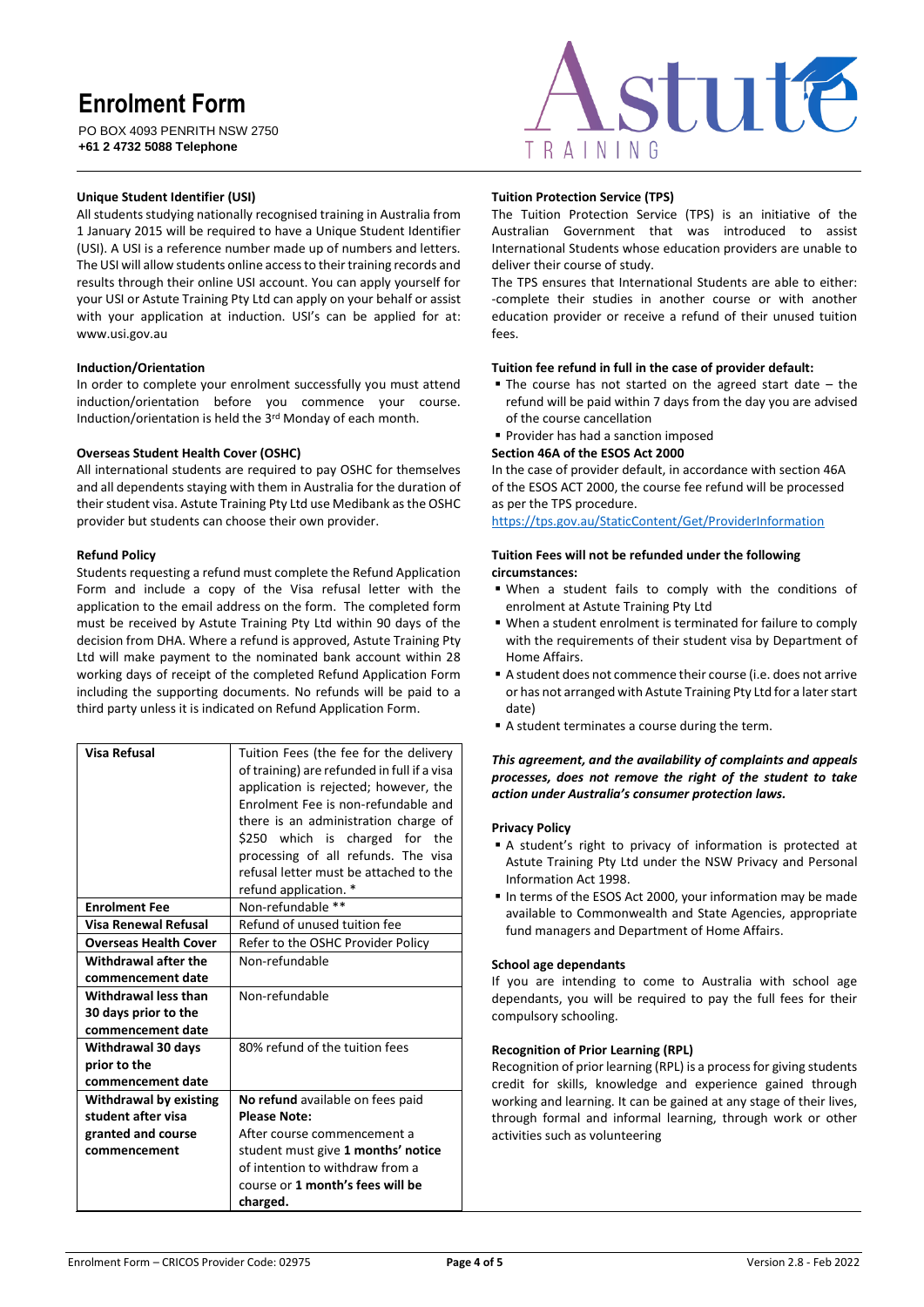PO BOX 4093 PENRITH NSW 2750 **+61 2 4732 5088 Telephone**



#### **Unique Student Identifier (USI)**

All students studying nationally recognised training in Australia from 1 January 2015 will be required to have a Unique Student Identifier (USI). A USI is a reference number made up of numbers and letters. The USI will allow students online access to their training records and results through their online USI account. You can apply yourself for your USI or Astute Training Pty Ltd can apply on your behalf or assist with your application at induction. USI's can be applied for at: [www.usi.gov.au](http://www.usi.gov.au/)

#### **Induction/Orientation**

In order to complete your enrolment successfully you must attend induction/orientation before you commence your course. Induction/orientation is held the 3rd Monday of each month.

#### **Overseas Student Health Cover (OSHC)**

All international students are required to pay OSHC for themselves and all dependents staying with them in Australia for the duration of their student visa. Astute Training Pty Ltd use Medibank as the OSHC provider but students can choose their own provider.

#### **Refund Policy**

Students requesting a refund must complete the Refund Application Form and include a copy of the Visa refusal letter with the application to the email address on the form. The completed form must be received by Astute Training Pty Ltd within 90 days of the decision from DHA. Where a refund is approved, Astute Training Pty Ltd will make payment to the nominated bank account within 28 working days of receipt of the completed Refund Application Form including the supporting documents. No refunds will be paid to a third party unless it is indicated on Refund Application Form.

| Visa Refusal                  | Tuition Fees (the fee for the delivery<br>of training) are refunded in full if a visa<br>application is rejected; however, the<br>Enrolment Fee is non-refundable and<br>there is an administration charge of<br>\$250 which is charged for the<br>processing of all refunds. The visa |  |
|-------------------------------|----------------------------------------------------------------------------------------------------------------------------------------------------------------------------------------------------------------------------------------------------------------------------------------|--|
|                               | refusal letter must be attached to the<br>refund application. *                                                                                                                                                                                                                        |  |
| <b>Enrolment Fee</b>          | Non-refundable **                                                                                                                                                                                                                                                                      |  |
| <b>Visa Renewal Refusal</b>   | Refund of unused tuition fee                                                                                                                                                                                                                                                           |  |
| <b>Overseas Health Cover</b>  | Refer to the OSHC Provider Policy                                                                                                                                                                                                                                                      |  |
| Withdrawal after the          | Non-refundable                                                                                                                                                                                                                                                                         |  |
| commencement date             |                                                                                                                                                                                                                                                                                        |  |
| Withdrawal less than          | Non-refundable                                                                                                                                                                                                                                                                         |  |
| 30 days prior to the          |                                                                                                                                                                                                                                                                                        |  |
| commencement date             |                                                                                                                                                                                                                                                                                        |  |
| Withdrawal 30 days            | 80% refund of the tuition fees                                                                                                                                                                                                                                                         |  |
| prior to the                  |                                                                                                                                                                                                                                                                                        |  |
| commencement date             |                                                                                                                                                                                                                                                                                        |  |
| <b>Withdrawal by existing</b> | No refund available on fees paid                                                                                                                                                                                                                                                       |  |
| student after visa            | <b>Please Note:</b>                                                                                                                                                                                                                                                                    |  |
| granted and course            | After course commencement a                                                                                                                                                                                                                                                            |  |
| commencement                  | student must give 1 months' notice                                                                                                                                                                                                                                                     |  |
|                               | of intention to withdraw from a                                                                                                                                                                                                                                                        |  |
|                               | course or 1 month's fees will be                                                                                                                                                                                                                                                       |  |
|                               | charged.                                                                                                                                                                                                                                                                               |  |

#### **Tuition Protection Service (TPS)**

The Tuition Protection Service (TPS) is an initiative of the Australian Government that was introduced to assist International Students whose education providers are unable to deliver their course of study.

The TPS ensures that International Students are able to either: -complete their studies in another course or with another education provider or receive a refund of their unused tuition fees.

#### **Tuition fee refund in full in the case of provider default:**

- $\blacksquare$  The course has not started on the agreed start date  $-$  the refund will be paid within 7 days from the day you are advised of the course cancellation
- Provider has had a sanction imposed

#### **Section 46A of the ESOS Act 2000**

In the case of provider default, in accordance with section 46A of the ESOS ACT 2000, the course fee refund will be processed as per the TPS procedure.

<https://tps.gov.au/StaticContent/Get/ProviderInformation>

#### **Tuition Fees will not be refunded under the following circumstances:**

- When a student fails to comply with the conditions of enrolment at Astute Training Pty Ltd
- When a student enrolment is terminated for failure to comply with the requirements of their student visa by Department of Home Affairs.
- A student does not commence their course (i.e. does not arrive or has not arranged with Astute Training Pty Ltd for a later start date)
- A student terminates a course during the term.

#### *This agreement, and the availability of complaints and appeals processes, does not remove the right of the student to take action under Australia's consumer protection laws.*

#### **Privacy Policy**

- A student's right to privacy of information is protected at Astute Training Pty Ltd under the NSW Privacy and Personal Information Act 1998.
- In terms of the ESOS Act 2000, your information may be made available to Commonwealth and State Agencies, appropriate fund managers and Department of Home Affairs.

#### **School age dependants**

If you are intending to come to Australia with school age dependants, you will be required to pay the full fees for their compulsory schooling.

#### **Recognition of Prior Learning (RPL)**

Recognition of prior learning (RPL) is a process for giving students credit for skills, knowledge and experience gained through working and learning. It can be gained at any stage of their lives, through formal and informal learning, through work or other activities such as volunteering